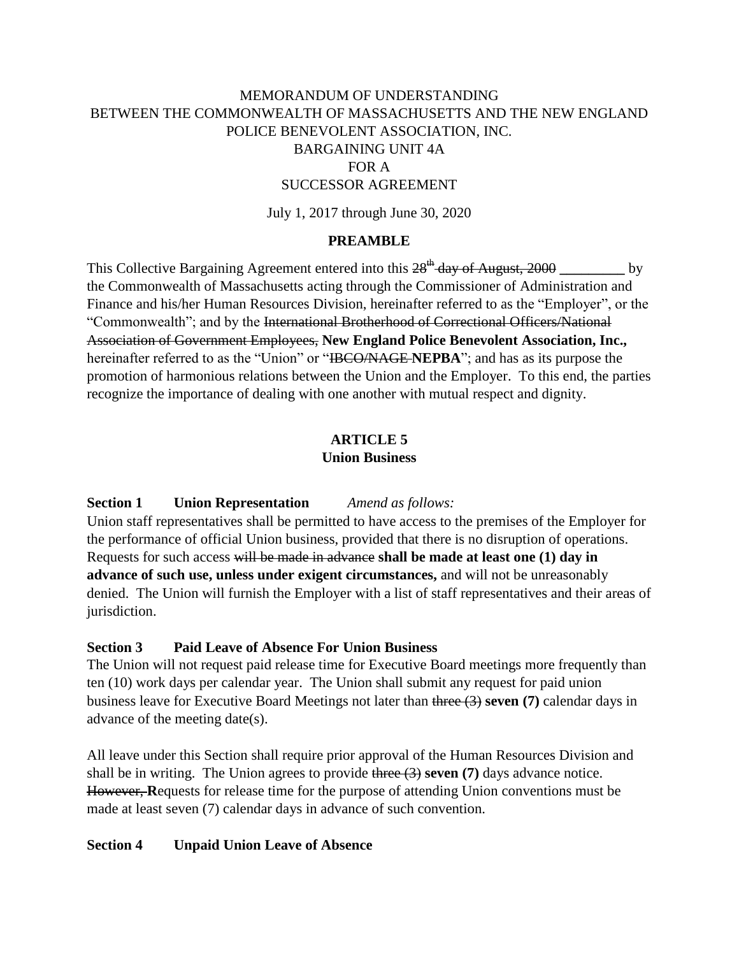# MEMORANDUM OF UNDERSTANDING BETWEEN THE COMMONWEALTH OF MASSACHUSETTS AND THE NEW ENGLAND POLICE BENEVOLENT ASSOCIATION, INC.

# BARGAINING UNIT 4A

# FOR A

## SUCCESSOR AGREEMENT

July 1, 2017 through June 30, 2020

#### **PREAMBLE**

This Collective Bargaining Agreement entered into this  $28^{th}$  day of August, 2000 the Commonwealth of Massachusetts acting through the Commissioner of Administration and Finance and his/her Human Resources Division, hereinafter referred to as the "Employer", or the "Commonwealth"; and by the International Brotherhood of Correctional Officers/National Association of Government Employees, **New England Police Benevolent Association, Inc.,** hereinafter referred to as the "Union" or "IBCO/NAGE **NEPBA**"; and has as its purpose the promotion of harmonious relations between the Union and the Employer. To this end, the parties recognize the importance of dealing with one another with mutual respect and dignity.

#### **ARTICLE 5 Union Business**

#### **Section 1 Union Representation** *Amend as follows:*

Union staff representatives shall be permitted to have access to the premises of the Employer for the performance of official Union business, provided that there is no disruption of operations. Requests for such access will be made in advance **shall be made at least one (1) day in advance of such use, unless under exigent circumstances,** and will not be unreasonably denied. The Union will furnish the Employer with a list of staff representatives and their areas of jurisdiction.

#### **Section 3 Paid Leave of Absence For Union Business**

The Union will not request paid release time for Executive Board meetings more frequently than ten (10) work days per calendar year. The Union shall submit any request for paid union business leave for Executive Board Meetings not later than three (3) **seven (7)** calendar days in advance of the meeting date(s).

All leave under this Section shall require prior approval of the Human Resources Division and shall be in writing. The Union agrees to provide three (3) **seven (7)** days advance notice. However, **R**equests for release time for the purpose of attending Union conventions must be made at least seven (7) calendar days in advance of such convention.

#### **Section 4 Unpaid Union Leave of Absence**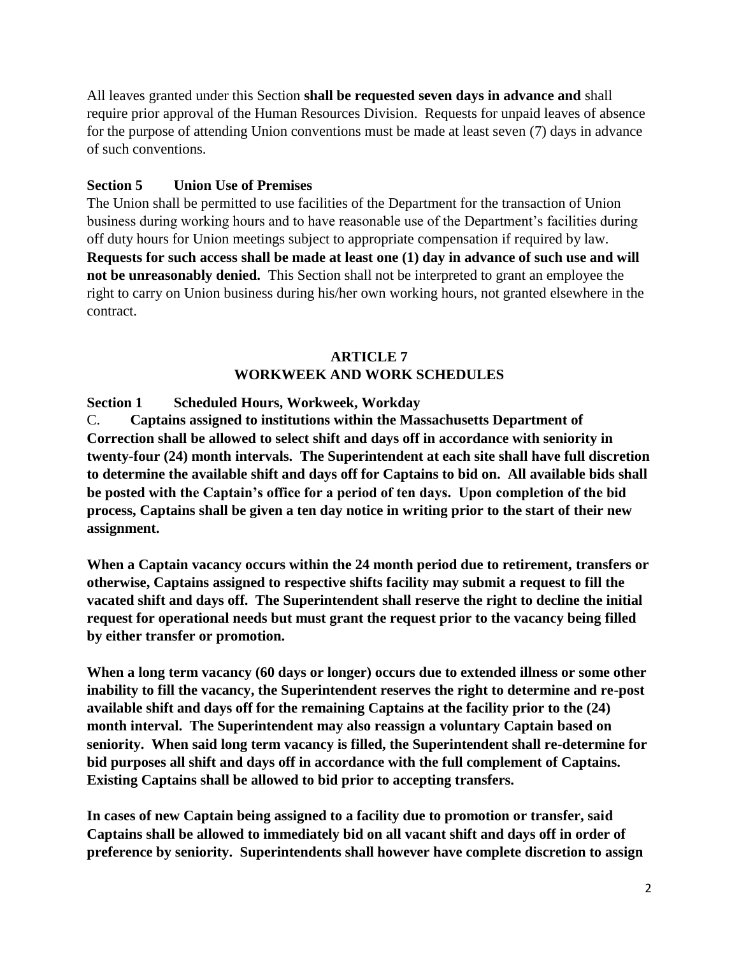All leaves granted under this Section **shall be requested seven days in advance and** shall require prior approval of the Human Resources Division. Requests for unpaid leaves of absence for the purpose of attending Union conventions must be made at least seven (7) days in advance of such conventions.

# **Section 5 Union Use of Premises**

The Union shall be permitted to use facilities of the Department for the transaction of Union business during working hours and to have reasonable use of the Department's facilities during off duty hours for Union meetings subject to appropriate compensation if required by law. **Requests for such access shall be made at least one (1) day in advance of such use and will not be unreasonably denied.** This Section shall not be interpreted to grant an employee the right to carry on Union business during his/her own working hours, not granted elsewhere in the contract.

## **ARTICLE 7 WORKWEEK AND WORK SCHEDULES**

**Section 1 Scheduled Hours, Workweek, Workday**

C. **Captains assigned to institutions within the Massachusetts Department of Correction shall be allowed to select shift and days off in accordance with seniority in twenty-four (24) month intervals. The Superintendent at each site shall have full discretion to determine the available shift and days off for Captains to bid on. All available bids shall be posted with the Captain's office for a period of ten days. Upon completion of the bid process, Captains shall be given a ten day notice in writing prior to the start of their new assignment.**

**When a Captain vacancy occurs within the 24 month period due to retirement, transfers or otherwise, Captains assigned to respective shifts facility may submit a request to fill the vacated shift and days off. The Superintendent shall reserve the right to decline the initial request for operational needs but must grant the request prior to the vacancy being filled by either transfer or promotion.**

**When a long term vacancy (60 days or longer) occurs due to extended illness or some other inability to fill the vacancy, the Superintendent reserves the right to determine and re-post available shift and days off for the remaining Captains at the facility prior to the (24) month interval. The Superintendent may also reassign a voluntary Captain based on seniority. When said long term vacancy is filled, the Superintendent shall re-determine for bid purposes all shift and days off in accordance with the full complement of Captains. Existing Captains shall be allowed to bid prior to accepting transfers.**

**In cases of new Captain being assigned to a facility due to promotion or transfer, said Captains shall be allowed to immediately bid on all vacant shift and days off in order of preference by seniority. Superintendents shall however have complete discretion to assign**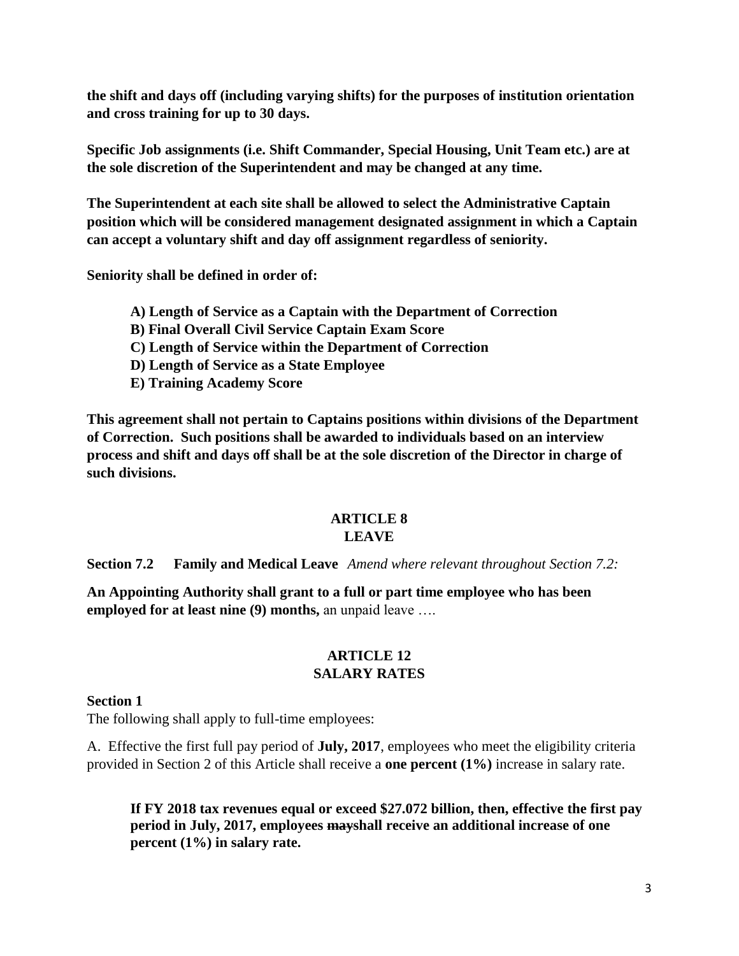**the shift and days off (including varying shifts) for the purposes of institution orientation and cross training for up to 30 days.**

**Specific Job assignments (i.e. Shift Commander, Special Housing, Unit Team etc.) are at the sole discretion of the Superintendent and may be changed at any time.**

**The Superintendent at each site shall be allowed to select the Administrative Captain position which will be considered management designated assignment in which a Captain can accept a voluntary shift and day off assignment regardless of seniority.**

**Seniority shall be defined in order of:**

- **A) Length of Service as a Captain with the Department of Correction**
- **B) Final Overall Civil Service Captain Exam Score**
- **C) Length of Service within the Department of Correction**
- **D) Length of Service as a State Employee**
- **E) Training Academy Score**

**This agreement shall not pertain to Captains positions within divisions of the Department of Correction. Such positions shall be awarded to individuals based on an interview process and shift and days off shall be at the sole discretion of the Director in charge of such divisions.**

# **ARTICLE 8**

# **LEAVE**

**Section 7.2 Family and Medical Leave** *Amend where relevant throughout Section 7.2:*

**An Appointing Authority shall grant to a full or part time employee who has been employed for at least nine (9) months,** an unpaid leave ….

## **ARTICLE 12 SALARY RATES**

## **Section 1**

The following shall apply to full-time employees:

A. Effective the first full pay period of **July, 2017**, employees who meet the eligibility criteria provided in Section 2 of this Article shall receive a **one percent (1%)** increase in salary rate.

**If FY 2018 tax revenues equal or exceed \$27.072 billion, then, effective the first pay period in July, 2017, employees mayshall receive an additional increase of one percent (1%) in salary rate.**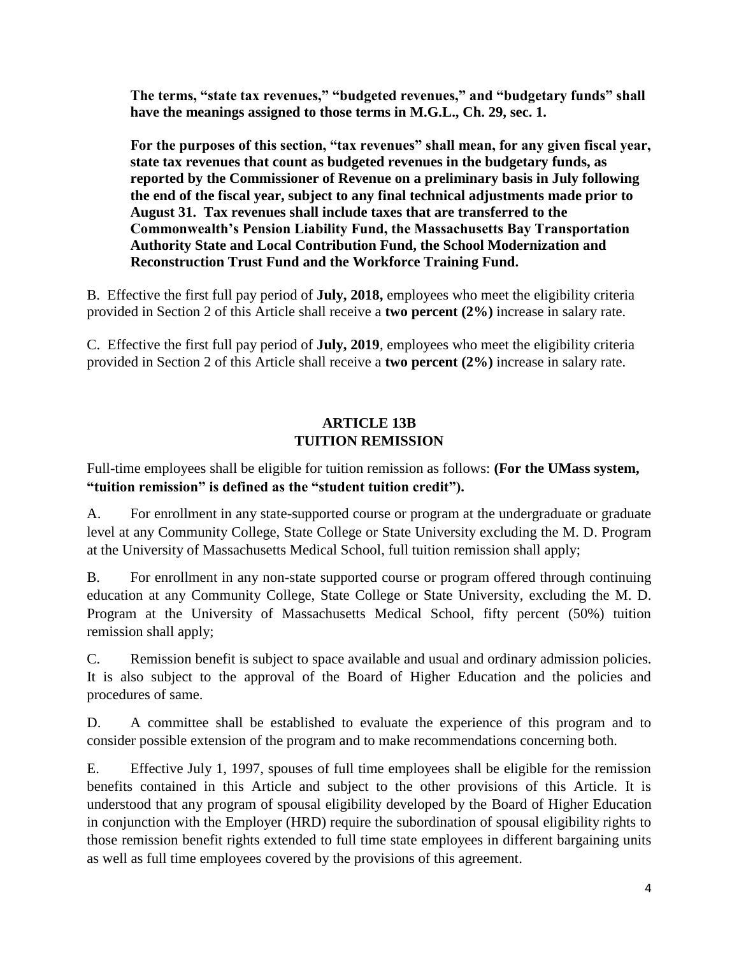**The terms, "state tax revenues," "budgeted revenues," and "budgetary funds" shall have the meanings assigned to those terms in M.G.L., Ch. 29, sec. 1.** 

**For the purposes of this section, "tax revenues" shall mean, for any given fiscal year, state tax revenues that count as budgeted revenues in the budgetary funds, as reported by the Commissioner of Revenue on a preliminary basis in July following the end of the fiscal year, subject to any final technical adjustments made prior to August 31. Tax revenues shall include taxes that are transferred to the Commonwealth's Pension Liability Fund, the Massachusetts Bay Transportation Authority State and Local Contribution Fund, the School Modernization and Reconstruction Trust Fund and the Workforce Training Fund.**

B. Effective the first full pay period of **July, 2018,** employees who meet the eligibility criteria provided in Section 2 of this Article shall receive a **two percent (2%)** increase in salary rate.

C. Effective the first full pay period of **July, 2019**, employees who meet the eligibility criteria provided in Section 2 of this Article shall receive a **two percent (2%)** increase in salary rate.

# **ARTICLE 13B TUITION REMISSION**

Full-time employees shall be eligible for tuition remission as follows: **(For the UMass system, "tuition remission" is defined as the "student tuition credit").**

A. For enrollment in any state-supported course or program at the undergraduate or graduate level at any Community College, State College or State University excluding the M. D. Program at the University of Massachusetts Medical School, full tuition remission shall apply;

B. For enrollment in any non-state supported course or program offered through continuing education at any Community College, State College or State University, excluding the M. D. Program at the University of Massachusetts Medical School, fifty percent (50%) tuition remission shall apply;

C. Remission benefit is subject to space available and usual and ordinary admission policies. It is also subject to the approval of the Board of Higher Education and the policies and procedures of same.

D. A committee shall be established to evaluate the experience of this program and to consider possible extension of the program and to make recommendations concerning both.

E. Effective July 1, 1997, spouses of full time employees shall be eligible for the remission benefits contained in this Article and subject to the other provisions of this Article. It is understood that any program of spousal eligibility developed by the Board of Higher Education in conjunction with the Employer (HRD) require the subordination of spousal eligibility rights to those remission benefit rights extended to full time state employees in different bargaining units as well as full time employees covered by the provisions of this agreement.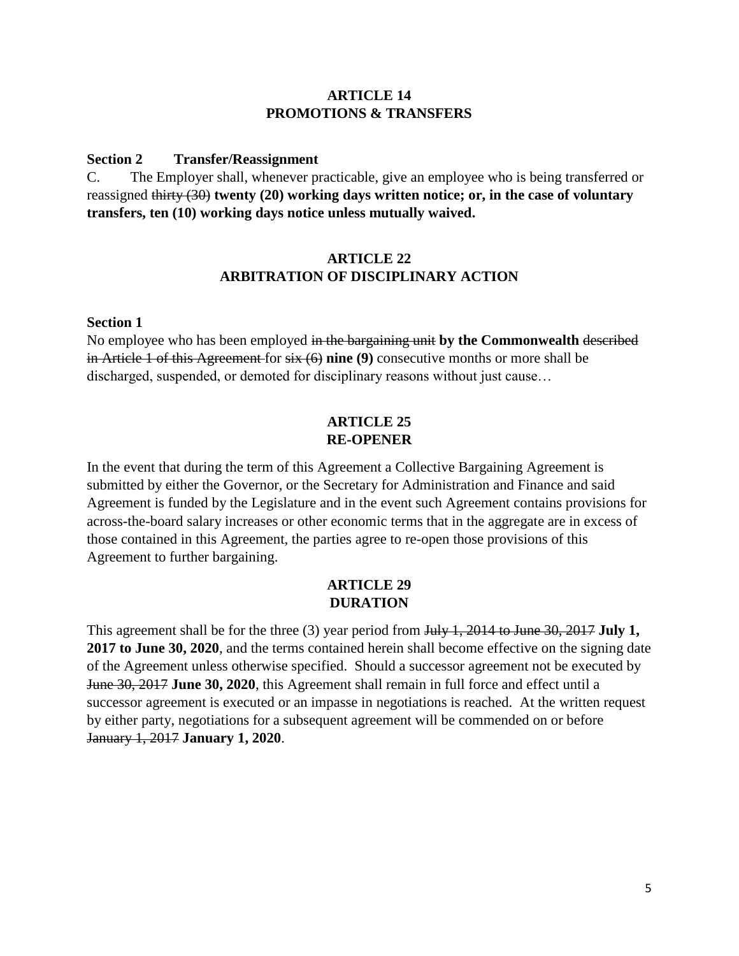## **ARTICLE 14 PROMOTIONS & TRANSFERS**

#### **Section 2 Transfer/Reassignment**

C. The Employer shall, whenever practicable, give an employee who is being transferred or reassigned thirty (30) **twenty (20) working days written notice; or, in the case of voluntary transfers, ten (10) working days notice unless mutually waived.**

## **ARTICLE 22 ARBITRATION OF DISCIPLINARY ACTION**

#### **Section 1**

No employee who has been employed in the bargaining unit **by the Commonwealth** described in Article 1 of this Agreement for six (6) **nine (9)** consecutive months or more shall be discharged, suspended, or demoted for disciplinary reasons without just cause…

## **ARTICLE 25 RE-OPENER**

In the event that during the term of this Agreement a Collective Bargaining Agreement is submitted by either the Governor, or the Secretary for Administration and Finance and said Agreement is funded by the Legislature and in the event such Agreement contains provisions for across-the-board salary increases or other economic terms that in the aggregate are in excess of those contained in this Agreement, the parties agree to re-open those provisions of this Agreement to further bargaining.

## **ARTICLE 29 DURATION**

This agreement shall be for the three (3) year period from July 1, 2014 to June 30, 2017 **July 1, 2017 to June 30, 2020**, and the terms contained herein shall become effective on the signing date of the Agreement unless otherwise specified. Should a successor agreement not be executed by June 30, 2017 **June 30, 2020**, this Agreement shall remain in full force and effect until a successor agreement is executed or an impasse in negotiations is reached. At the written request by either party, negotiations for a subsequent agreement will be commended on or before January 1, 2017 **January 1, 2020**.